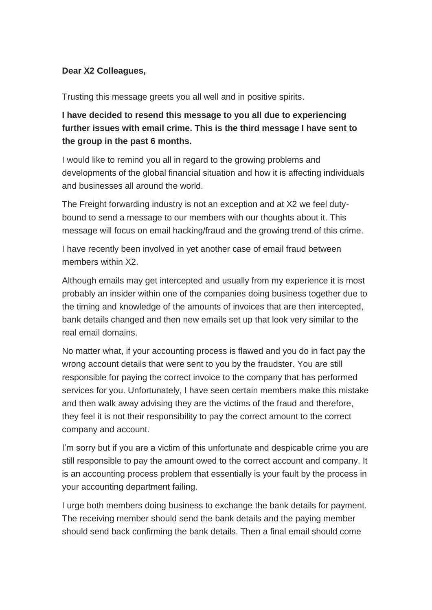## **Dear X2 Colleagues,**

Trusting this message greets you all well and in positive spirits.

# **I have decided to resend this message to you all due to experiencing further issues with email crime. This is the third message I have sent to the group in the past 6 months.**

I would like to remind you all in regard to the growing problems and developments of the global financial situation and how it is affecting individuals and businesses all around the world.

The Freight forwarding industry is not an exception and at X2 we feel dutybound to send a message to our members with our thoughts about it. This message will focus on email hacking/fraud and the growing trend of this crime.

I have recently been involved in yet another case of email fraud between members within X2.

Although emails may get intercepted and usually from my experience it is most probably an insider within one of the companies doing business together due to the timing and knowledge of the amounts of invoices that are then intercepted, bank details changed and then new emails set up that look very similar to the real email domains.

No matter what, if your accounting process is flawed and you do in fact pay the wrong account details that were sent to you by the fraudster. You are still responsible for paying the correct invoice to the company that has performed services for you. Unfortunately, I have seen certain members make this mistake and then walk away advising they are the victims of the fraud and therefore, they feel it is not their responsibility to pay the correct amount to the correct company and account.

I'm sorry but if you are a victim of this unfortunate and despicable crime you are still responsible to pay the amount owed to the correct account and company. It is an accounting process problem that essentially is your fault by the process in your accounting department failing.

I urge both members doing business to exchange the bank details for payment. The receiving member should send the bank details and the paying member should send back confirming the bank details. Then a final email should come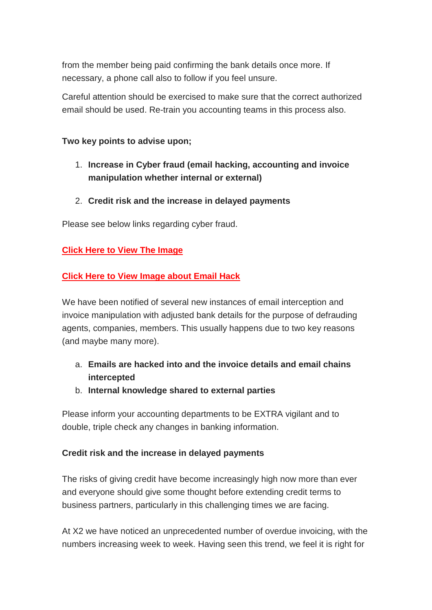from the member being paid confirming the bank details once more. If necessary, a phone call also to follow if you feel unsure.

Careful attention should be exercised to make sure that the correct authorized email should be used. Re-train you accounting teams in this process also.

### **Two key points to advise upon;**

- 1. **Increase in Cyber fraud (email hacking, accounting and invoice manipulation whether internal or external)**
- 2. **Credit risk and the increase in delayed payments**

Please see below links regarding cyber fraud.

## **[Click Here to View The Image](https://bit.ly/3o7KS2y)**

## **[Click Here to View Image about Email Hack](https://bit.ly/2M8pVYf)**

We have been notified of several new instances of email interception and invoice manipulation with adjusted bank details for the purpose of defrauding agents, companies, members. This usually happens due to two key reasons (and maybe many more).

# a. **Emails are hacked into and the invoice details and email chains intercepted**

b. **Internal knowledge shared to external parties**

Please inform your accounting departments to be EXTRA vigilant and to double, triple check any changes in banking information.

### **Credit risk and the increase in delayed payments**

The risks of giving credit have become increasingly high now more than ever and everyone should give some thought before extending credit terms to business partners, particularly in this challenging times we are facing.

At X2 we have noticed an unprecedented number of overdue invoicing, with the numbers increasing week to week. Having seen this trend, we feel it is right for